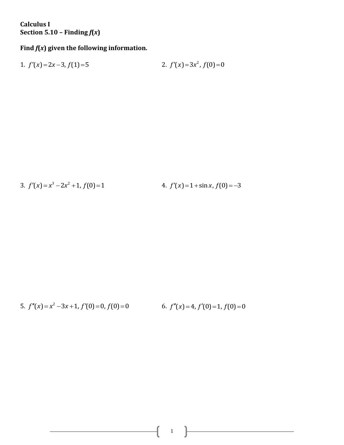**Calculus I Section 5.10 – Finding**  $f(x)$ 

## **Find** *f***(***x***) given the following information.**

1. 
$$
f'(x)=2x-3
$$
,  $f(1)=5$   
2.  $f'(x)=3x^2$ ,  $f(0)=0$ 

3. 
$$
f'(x) = x^3 - 2x^2 + 1
$$
,  $f(0) = 1$   
4.  $f'(x) = 1 + \sin x$ ,  $f(0) = -3$ 

5. 
$$
f''(x) = x^2 - 3x + 1
$$
,  $f'(0) = 0$ ,  $f(0) = 0$   
6.  $f''(x) = 4$ ,  $f'(0) = 1$ ,  $f(0) = 0$ 

 $\begin{pmatrix} 1 & 1 \end{pmatrix}$ 

<u> 1980 - Johann Barbara, martxa a</u>

 $\mathfrak{f}% _{0}$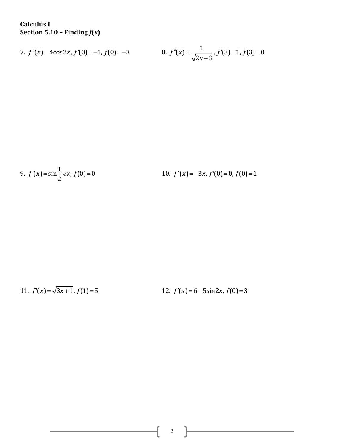**Calculus I Section 5.10 – Finding**  $f(x)$ 

7. 
$$
f''(x) = 4\cos 2x
$$
,  $f'(0) = -1$ ,  $f(0) = -3$   
8.  $f''(x) = \frac{1}{\sqrt{2x+3}}$ ,  $f'(3) = 1$ ,  $f(3) = 0$ 

9. 
$$
f'(x) = \sin{\frac{1}{2}\pi x}
$$
,  $f(0) = 0$   
10.  $f''(x) = -3x$ ,  $f'(0) = 0$ ,  $f(0) = 1$ 

11. 
$$
f'(x) = \sqrt{3x+1}
$$
,  $f(1)=5$   
12.  $f'(x)=6-5\sin 2x$ ,  $f(0)=3$ 

2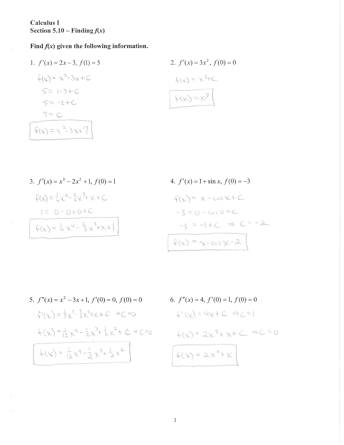Calculus I Section 5.10 – Finding  $f(x)$ 

Find  $f(x)$  given the following information.

1. 
$$
f'(x) = 2x - 3
$$
,  $f(1) = 5$   
\n $f(x) = x^2 - 3x + C$   
\n $f(x) = x^3 + C$   
\n $f(x) = 3x^2$ ,  $f(0) = 0$   
\n $f(x) = x^3 + C$   
\n $f(x) = x^2 + C$   
\n $f(x) = x^2 - 3x + 7$   
\n $f(x) = x^2 - 3x + 7$ 

3. 
$$
f'(x) = x^3 - 2x^2 + 1, f(0) = 1
$$
  
\n
$$
\mathcal{L}(x) = \frac{1}{4} \mathcal{L}^4 - \frac{2}{3} \mathcal{L}^3 + \mathcal{L} + C
$$
\n
$$
1 = 0 - 0 + 0 + C
$$
\n
$$
\mathcal{L}(x) = \frac{1}{4} \mathcal{L}^4 - \frac{2}{3} \mathcal{L}^3 + \mathcal{K} + 1
$$

 $\left($ 

 $\epsilon_{\rm 1R}$  .

4. 
$$
f'(x) = 1 + \sin x, f(0) = -3
$$
  
\n
$$
\varphi(x) = x - \cos x + C
$$
  
\n
$$
-3 = 0 - \cos 0 + C
$$
  
\n
$$
-3 = -(+C) \Rightarrow C = -2
$$
  
\n
$$
\varphi(x) = x - \cos x - 2
$$

5. 
$$
f''(x) = x^2 - 3x + 1
$$
,  $f'(0) = 0$ ,  $f(0) = 0$   
\n
$$
\mathcal{L}^{1}(\mathcal{L}) = \frac{1}{3} \chi^3 - \frac{3}{2} \chi^2 + \chi + C \implies C = 0
$$
\n
$$
\mathcal{L}(\mathcal{L}) = \frac{1}{12} \chi^4 - \frac{1}{2} \chi^3 + \frac{1}{2} \chi^2 + C \implies C = 0
$$
\n
$$
\mathcal{L}(\mathcal{L}) = \frac{1}{12} \chi^4 - \frac{1}{2} \chi^3 + \frac{1}{2} \chi^2 + C \implies C = 0
$$

6. 
$$
f''(x) = 4, f'(0) = 1, f(0) = 0
$$

$$
\int \left( \frac{1}{x} \right)^x dx + C \implies C = \left( \frac{1}{x} \right)^x dx + C \implies C = 0
$$

$$
\int \left( \frac{1}{x} \right)^x dx = 2x^2 + x + C \implies C = 0
$$